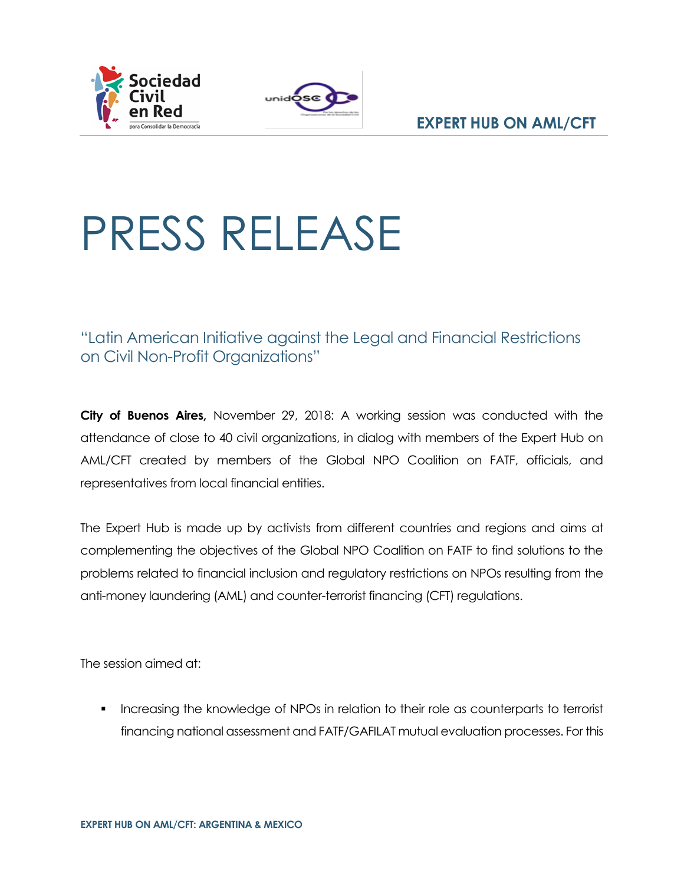



## PRESS RELEASE

"Latin American Initiative against the Legal and Financial Restrictions on Civil Non-Profit Organizations"

**City of Buenos Aires,** November 29, 2018: A working session was conducted with the attendance of close to 40 civil organizations, in dialog with members of the Expert Hub on AML/CFT created by members of the Global NPO Coalition on FATF, officials, and representatives from local financial entities.

The Expert Hub is made up by activists from different countries and regions and aims at complementing the objectives of the Global NPO Coalition on FATF to find solutions to the problems related to financial inclusion and regulatory restrictions on NPOs resulting from the anti-money laundering (AML) and counter-terrorist financing (CFT) regulations.

The session aimed at:

**•** Increasing the knowledge of NPOs in relation to their role as counterparts to terrorist financing national assessment and FATF/GAFILAT mutual evaluation processes. For this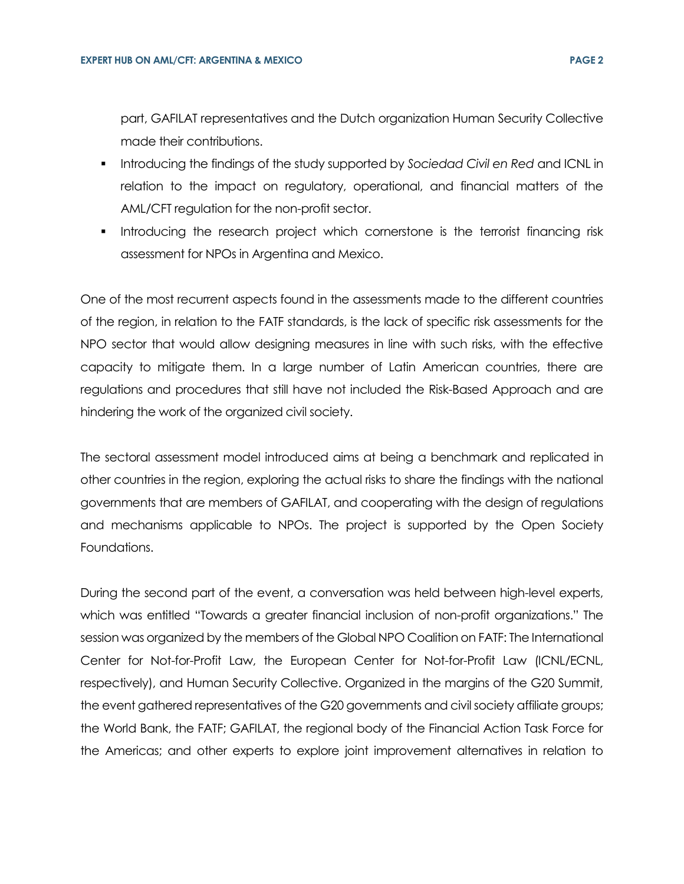part, GAFILAT representatives and the Dutch organization Human Security Collective made their contributions.

- Introducing the findings of the study supported by *Sociedad Civil en Red* and ICNL in relation to the impact on regulatory, operational, and financial matters of the AML/CFT regulation for the non-profit sector.
- Introducing the research project which cornerstone is the terrorist financing risk assessment for NPOs in Argentina and Mexico.

One of the most recurrent aspects found in the assessments made to the different countries of the region, in relation to the FATF standards, is the lack of specific risk assessments for the NPO sector that would allow designing measures in line with such risks, with the effective capacity to mitigate them. In a large number of Latin American countries, there are regulations and procedures that still have not included the Risk-Based Approach and are hindering the work of the organized civil society.

The sectoral assessment model introduced aims at being a benchmark and replicated in other countries in the region, exploring the actual risks to share the findings with the national governments that are members of GAFILAT, and cooperating with the design of regulations and mechanisms applicable to NPOs. The project is supported by the Open Society Foundations.

During the second part of the event, a conversation was held between high-level experts, which was entitled "Towards a greater financial inclusion of non-profit organizations." The session was organized by the members of the Global NPO Coalition on FATF: The International Center for Not-for-Profit Law, the European Center for Not-for-Profit Law (ICNL/ECNL, respectively), and Human Security Collective. Organized in the margins of the G20 Summit, the event gathered representatives of the G20 governments and civil society affiliate groups; the World Bank, the FATF; GAFILAT, the regional body of the Financial Action Task Force for the Americas; and other experts to explore joint improvement alternatives in relation to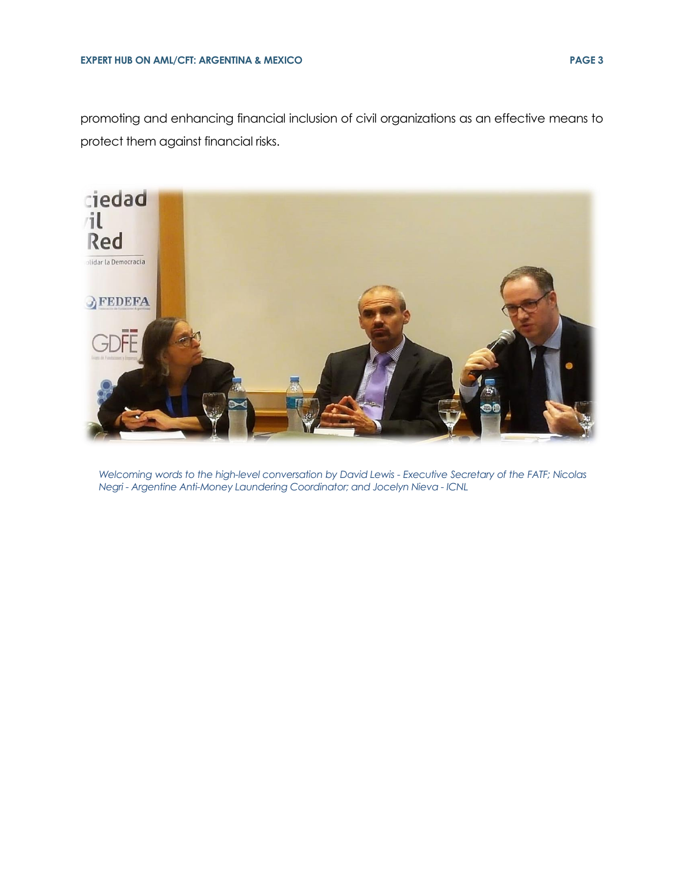promoting and enhancing financial inclusion of civil organizations as an effective means to protect them against financial risks.



*Welcoming words to the high-level conversation by David Lewis - Executive Secretary of the FATF; Nicolas Negri - Argentine Anti-Money Laundering Coordinator; and Jocelyn Nieva - ICNL*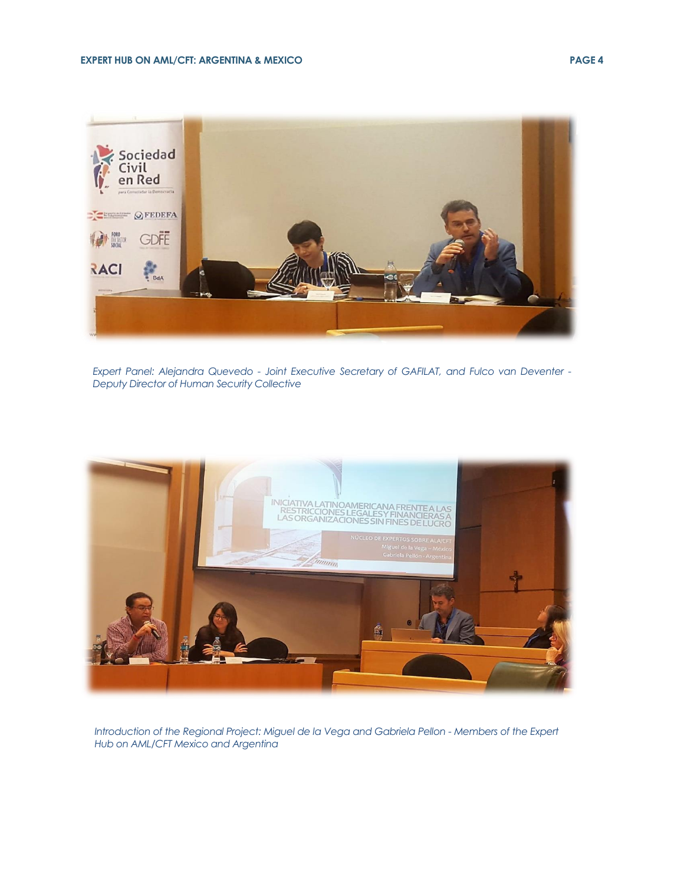

*Expert Panel: Alejandra Quevedo - Joint Executive Secretary of GAFILAT, and Fulco van Deventer - Deputy Director of Human Security Collective*



*Introduction of the Regional Project: Miguel de la Vega and Gabriela Pellon - Members of the Expert Hub on AML/CFT Mexico and Argentina*